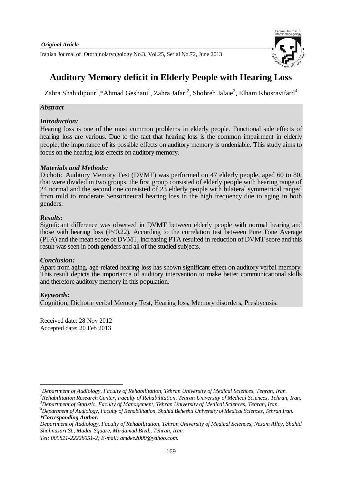Iranian Journal of Otorhinolaryngology No.3, Vol.25, Serial No.72, June 2013



# **Auditory Memory deficit in Elderly People with Hearing Loss**

Zahra Shahidipour<sup>1</sup>,\*Ahmad Geshani<sup>1</sup>, Zahra Jafari<sup>2</sup>, Shohreh Jalaie<sup>3</sup>, Elham Khosravifard<sup>4</sup>

## *Abstract*

#### *Introduction:*

Hearing loss is one of the most common problems in elderly people. Functional side effects of hearing loss are various. Due to the fact that hearing loss is the common impairment in elderly people; the importance of its possible effects on auditory memory is undeniable. This study aims to focus on the hearing loss effects on auditory memory.

## *Materials and Methods:*

Dichotic Auditory Memory Test (DVMT) was performed on 47 elderly people, aged 60 to 80; that were divided in two groups, the first group consisted of elderly people with hearing range of 24 normal and the second one consisted of 23 elderly people with bilateral symmetrical ranged from mild to moderate Sensorineural hearing loss in the high frequency due to aging in both genders.

#### *Results:*

Significant difference was observed in DVMT between elderly people with normal hearing and those with hearing loss (P<0.22). According to the correlation test between Pure Tone Average (PTA) and the mean score of DVMT, increasing PTA resulted in reduction of DVMT score and this result was seen in both genders and all of the studied subjects.

## *Conclusion:*

Apart from aging, age-related hearing loss has shown significant effect on auditory verbal memory. This result depicts the importance of auditory intervention to make better communicational skills and therefore auditory memory in this population.

## *Keywords:*

 $\overline{a}$ 

Cognition, Dichotic verbal Memory Test, Hearing loss, Memory disorders, Presbycusis.

Received date: 28 Nov 2012 Accepted date: 20 Feb 2013

*<sup>1</sup>Department of Audiology, Faculty of Rehabilitation, Tehran University of Medical Sciences, Tehran, Iran.*

*<sup>2</sup>Rehabilitation Research Center, Faculty of Rehabilitation, Tehran University of Medical Sciences, Tehran, Iran. <sup>3</sup>Department of Statistic, Faculty of Management, Tehran University of Medical Sciences, Tehran, Iran.*

*<sup>4</sup>Department of Audiology, Faculty of Rehabilitation, Shahid Beheshti University of Medical Sciences, Tehran Iran. \*Corresponding Author:*

*Department of Audiology, Faculty of Rehabilitation, Tehran University of Medical Sciences, Nezam Alley, Shahid Shahnazari St., Madar Square, Mirdamad Blvd., Tehran, Iran.* 

*Tel: 009821-22228051-2; E-mail: amdke2000@yahoo.com.*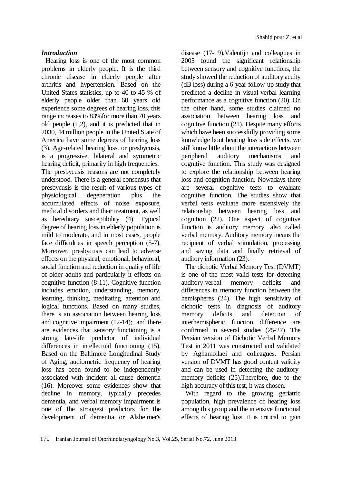## *Introduction*

Hearing loss is one of the most common problems in elderly people. It is the third chronic disease in elderly people after arthritis and hypertension. Based on the United States statistics, up to 40 to 45 % of elderly people older than 60 years old experience some degrees of hearing loss, this range increases to 83%for more than 70 years old people (1,2), and it is predicted that in 2030, 44 million people in the United State of America have some degrees of hearing loss (3). Age-related hearing loss, or presbycusis, is a progressive, bilateral and symmetric hearing deficit, primarily in high frequencies. The presbycusis reasons are not completely understood. There is a general consensus that presbycusis is the result of various types of physiological degeneration plus the accumulated effects of noise exposure, medical disorders and their treatment, as well as hereditary susceptibility (4). Typical degree of hearing loss in elderly population is mild to moderate, and in most cases, people face difficulties in speech perception (5-7). Moreover, presbycusis can lead to adverse effects on the physical, emotional, behavioral, social function and reduction in quality of life of older adults and particularly it effects on cognitive function (8-11). Cognitive function includes emotion, understanding, memory, learning, thinking, meditating, attention and logical functions. Based on many studies, there is an association between hearing loss and cognitive impairment (12-14); and there are evidences that sensory functioning is a strong late-life predictor of individual differences in intellectual functioning (15). Based on the Baltimore Longitudinal Study of Aging, audiometric frequency of hearing loss has been found to be independently associated with incident all-cause dementia (16). Moreover some evidences show that decline in memory, typically precedes dementia, and verbal memory impairment is one of the strongest predictors for the development of dementia or Alzheimer's

disease (17-19).Valentijn and colleagues in 2005 found the significant relationship between sensory and cognitive functions, the study showed the reduction of auditory acuity (dB loss) during a 6-year follow-up study that predicted a decline in visual-verbal learning performance as a cognitive function (20). On the other hand, some studies claimed no association between hearing loss and cognitive function (21). Despite many efforts which have been successfully providing some knowledge bout hearing loss side effects, we still know little about the interactions between peripheral auditory mechanisms and cognitive function. This study was designed to explore the relationship between hearing loss and cognition function. Nowadays there are several cognitive tests to evaluate cognitive function. The studies show that verbal tests evaluate more extensively the relationship between hearing loss and cognition (22). One aspect of cognitive function is auditory memory, also called verbal memory. Auditory memory means the recipient of verbal stimulation, processing and saving data and finally retrieval of auditory information (23).

The dichotic Verbal Memory Test (DVMT) is one of the most valid tests for detecting auditory-verbal memory deficits and differences in memory function between the hemispheres (24). The high sensitivity of dichotic tests in diagnosis of auditory memory deficits and detection of interhemispheric function difference are confirmed in several studies (25-27). The Persian version of Dichotic Verbal Memory Test in 2011 was constructed and validated by Aghamollaei and colleagues. Persian version of DVMT has good content validity and can be used in detecting the auditorymemory deficits (25).Therefore, due to the high accuracy of this test, it was chosen.

With regard to the growing geriatric population, high prevalence of hearing loss among this group and the intensive functional effects of hearing loss, it is critical to gain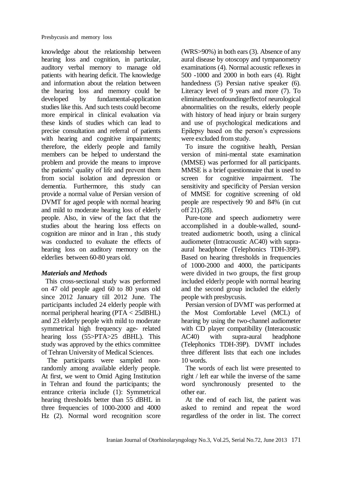knowledge about the relationship between hearing loss and cognition, in particular, auditory verbal memory to manage old patients with hearing deficit. The knowledge and information about the relation between the hearing loss and memory could be developed by fundamental-application studies like this. And such tests could become more empirical in clinical evaluation via these kinds of studies which can lead to precise consultation and referral of patients with hearing and cognitive impairments; therefore, the elderly people and family members can be helped to understand the problem and provide the means to improve the patients' quality of life and prevent them from social isolation and depression or dementia. Furthermore, this study can provide a normal value of Persian version of DVMT for aged people with normal hearing and mild to moderate hearing loss of elderly people. Also, in view of the fact that the studies about the hearing loss effects on cognition are minor and in Iran , this study was conducted to evaluate the effects of hearing loss on auditory memory on the elderlies between 60-80 years old.

#### *Materials and Methods*

This cross-sectional study was performed on 47 old people aged 60 to 80 years old since 2012 January till 2012 June. The participants included 24 elderly people with normal peripheral hearing (PTA < 25dBHL) and 23 elderly people with mild to moderate symmetrical high frequency age- related hearing loss (55>PTA>25 dBHL). This study was approved by the ethics committee of Tehran University of Medical Sciences.

The participants were sampled nonrandomly among available elderly people. At first, we went to Omid Aging Institution in Tehran and found the participants; the entrance criteria include (1): Symmetrical hearing thresholds better than 55 dBHL in three frequencies of 1000-2000 and 4000 Hz (2). Normal word recognition score (WRS>90%) in both ears (3). Absence of any aural disease by otoscopy and tympanometry examinations (4). Normal acoustic reflexes in 500 -1000 and 2000 in both ears (4). Right handedness (5) Persian native speaker (6). Literacy level of 9 years and more (7). To eliminatetheconfoundingeffectof neurological abnormalities on the results, elderly people with history of head injury or brain surgery and use of psychological medications and Epilepsy based on the person's expressions were excluded from study.

To insure the cognitive health, Persian version of mini-mental state examination (MMSE) was performed for all participants. MMSE is a brief questionnaire that is used to screen for cognitive impairment. The sensitivity and specificity of Persian version of MMSE for cognitive screening of old people are respectively 90 and 84% (in cut off 21) (28).

Pure-tone and speech audiometry were accomplished in a double-walled, soundtreated audiometric booth, using a clinical audiometer (Intracoustic AC40) with supraaural headphone (Telephonics TDH-39P). Based on hearing thresholds in frequencies of 1000-2000 and 4000, the participants were divided in two groups, the first group included elderly people with normal hearing and the second group included the elderly people with presbycusis.

Persian version of DVMT was performed at the Most Comfortable Level (MCL) of hearing by using the two-channel audiometer with CD player compatibility (Interacoustic AC40) with supra-aural headphone (Telephonics TDH-39P). DVMT includes three different lists that each one includes 10 words.

The words of each list were presented to right / left ear while the inverse of the same word synchronously presented to the other ear.

At the end of each list, the patient was asked to remind and repeat the word regardless of the order in list. The correct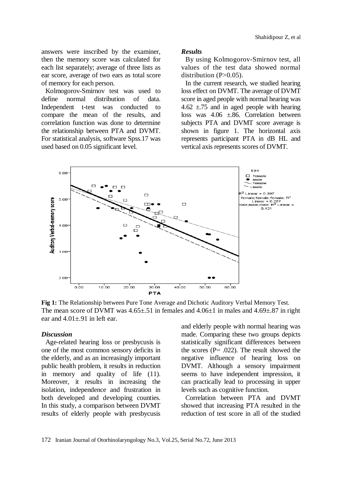answers were inscribed by the examiner, then the memory score was calculated for each list separately; average of three lists as ear score, average of two ears as total score of memory for each person.

Kolmogorov-Smirnov test was used to define normal distribution of data. Independent t-test was conducted to compare the mean of the results, and correlation function was done to determine the relationship between PTA and DVMT. For statistical analysis, software Spss.17 was used based on 0.05 significant level.

#### *Results*

By using Kolmogorov-Smirnov test, all values of the test data showed normal distribution  $(P>0.05)$ .

In the current research, we studied hearing loss effect on DVMT. The average of DVMT score in aged people with normal hearing was 4.62  $\pm$ .75 and in aged people with hearing loss was 4.06 ±.86. Correlation between subjects PTA and DVMT score average is shown in figure 1. The horizontal axis represents participant PTA in dB HL and vertical axis represents scores of DVMT.



**Fig 1:** The Relationship between Pure Tone Average and Dichotic Auditory Verbal Memory Test. The mean score of DVMT was  $4.65\pm 0.51$  in females and  $4.06\pm 1$  in males and  $4.69\pm 0.87$  in right ear and  $4.01 \div 91$  in left ear.

#### *Discussion*

Age-related hearing loss or presbycusis is one of the most common sensory deficits in the elderly, and as an increasingly important public health problem, it results in reduction in memory and quality of life (11). Moreover, it results in increasing the isolation, independence and frustration in both developed and developing counties. In this study, a comparison between DVMT results of elderly people with presbycusis

and elderly people with normal hearing was made. Comparing these two groups depicts statistically significant differences between the scores  $(P = .022)$ . The result showed the negative influence of hearing loss on DVMT. Although a sensory impairment seems to have independent impression, it can practically lead to processing in upper levels such as cognitive function.

Correlation between PTA and DVMT showed that increasing PTA resulted in the reduction of test score in all of the studied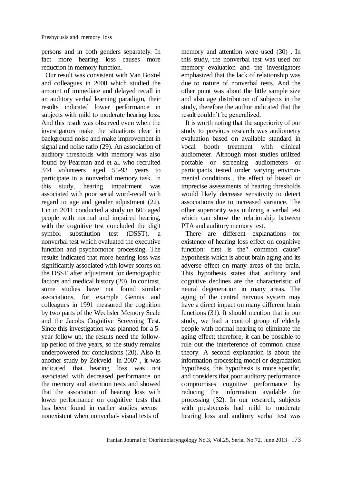persons and in both genders separately. In fact more hearing loss causes more reduction in memory function.

Our result was consistent with Van Boxtel and colleagues in 2000 which studied the amount of immediate and delayed recall in an auditory verbal learning paradigm, their results indicated lower performance in subjects with mild to moderate hearing loss. And this result was observed even when the investigators make the situations clear in background noise and make improvement in signal and noise ratio (29). An association of auditory thresholds with memory was also found by Pearman and et al. who recruited 344 volunteers aged 55-93 years to participate in a nonverbal memory task. In this study, hearing impairment was associated with poor serial word-recall with regard to age and gender adjustment (22). Lin in 2011 conducted a study on 605 aged people with normal and impaired hearing, with the cognitive test concluded the digit symbol substitution test (DSST), a nonverbal test which evaluated the executive function and psychomotor processing. The results indicated that more hearing loss was significantly associated with lower scores on the DSST after adjustment for demographic factors and medical history (20). In contrast, some studies have not found similar associations, for example Gennis and colleagues in 1991 measured the cognition by two parts of the Wechsler Memory Scale and the Jacobs Cognitive Screening Test. Since this investigation was planned for a 5 year follow up, the results need the followup period of five years, so the study remains underpowered for conclusions (20). Also in another study by Zekveld in 2007 , it was indicated that hearing loss was not associated with decreased performance on the memory and attention tests and showed that the association of hearing loss with lower performance on cognitive tests that has been found in earlier studies seems nonexistent when nonverbal- visual tests of

memory and attention were used  $(30)$ . In this study, the nonverbal test was used for memory evaluation and the investigators emphasized that the lack of relationship was due to nature of nonverbal tests. And the other point was about the little sample size and also age distribution of subjects in the study, therefore the author indicated that the result couldn't be generalized.

It is worth noting that the superiority of our study to previous research was audiometry evaluation based on available standard in vocal booth treatment with clinical audiometer. Although most studies utilized portable or screening audiometers or participants tested under varying environmental conditions , the effect of biased or imprecise assessments of hearing thresholds would likely decrease sensitivity to detect associations due to increased variance. The other superiority was utilizing a verbal test which can show the relationship between PTA and auditory memory test.

There are different explanations for existence of hearing loss effect on cognitive function: first is the" common cause" hypothesis which is about brain aging and its adverse effect on many areas of the brain. This hypothesis states that auditory and cognitive declines are the characteristic of neural degeneration in many areas. The aging of the central nervous system may have a direct impact on many different brain functions (31). It should mention that in our study, we had a control group of elderly people with normal hearing to eliminate the aging effect; therefore, it can be possible to rule out the interference of common cause theory. A second explanation is about the information-processing model or degradation hypothesis, this hypothesis is more specific, and considers that poor auditory performance compromises cognitive performance by reducing the information available for processing (32). In our research, subjects with presbycusis had mild to moderate hearing loss and auditory verbal test was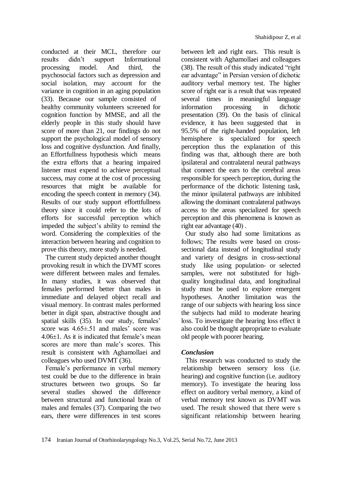conducted at their MCL, therefore our results didn't support Informational processing model. And third, the psychosocial factors such as depression and social isolation, may account for the variance in cognition in an aging population (33). Because our sample consisted of healthy community volunteers screened for cognition function by MMSE, and all the elderly people in this study should have score of more than 21, our findings do not support the psychological model of sensory loss and cognitive dysfunction. And finally, an Effortfullness hypothesis which means the extra efforts that a hearing impaired listener must expend to achieve perceptual success, may come at the cost of processing resources that might be available for encoding the speech content in memory (34). Results of our study support efforttfullness theory since it could refer to the lots of efforts for successful perception which impeded the subject's ability to remind the word. Considering the complexities of the interaction between hearing and cognition to prove this theory, more study is needed.

The current study depicted another thought provoking result in which the DVMT scores were different between males and females. In many studies, it was observed that females performed better than males in immediate and delayed object recall and visual memory. In contrast males performed better in digit span, abstractive thought and spatial skills (35). In our study, females' score was 4.65±.51 and males' score was 4.06±1. As it is indicated that female's mean scores are more than male's scores. This result is consistent with Aghamollaei and colleagues who used DVMT (36).

Female's performance in verbal memory test could be due to the difference in brain structures between two groups. So far several studies showed the difference between structural and functional brain of males and females (37). Comparing the two ears, there were differences in test scores

between left and right ears. This result is consistent with Aghamollaei and colleagues (38). The result of this study indicated "right ear advantage" in Persian version of dichotic auditory verbal memory test. The higher score of right ear is a result that was repeated several times in meaningful language information processing in dichotic presentation (39). On the basis of clinical evidence, it has been suggested that in 95.5% of the right-handed population, left hemisphere is specialized for speech perception thus the explanation of this finding was that, although there are both ipsilateral and contralateral neural pathways that connect the ears to the cerebral areas responsible for speech perception, during the performance of the dichotic listening task, the minor ipsilateral pathways are inhibited allowing the dominant contralateral pathways access to the areas specialized for speech perception and this phenomena is known as right ear advantage (40).

Our study also had some limitations as follows; The results were based on crosssectional data instead of longitudinal study and variety of designs in cross-sectional study like using population- or selected samples, were not substituted for highquality longitudinal data, and longitudinal study must be used to explore emergent hypotheses. Another limitation was the range of our subjects with hearing loss since the subjects had mild to moderate hearing loss. To investigate the hearing loss effect it also could be thought appropriate to evaluate old people with poorer hearing.

## *Conclusion*

This research was conducted to study the relationship between sensory loss (i.e. hearing) and cognitive function (i.e. auditory memory). To investigate the hearing loss effect on auditory verbal memory, a kind of verbal memory test known as DVMT was used. The result showed that there were s significant relationship between hearing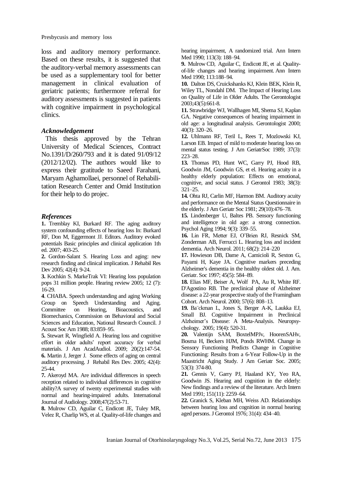loss and auditory memory performance. Based on these results, it is suggested that the auditory-verbal memory assessments can be used as a supplementary tool for better management in clinical evaluation of geriatric patients; furthermore referral for auditory assessments is suggested in patients with cognitive impairment in psychological clinics.

#### *Acknowledgement*

This thesis approved by the Tehran University of Medical Sciences, Contract No.1391/D/260/793 and it is dated 91/09/12 (2012/12/02). The authors would like to express their gratitude to Saeed Farahani, Maryam Aghamollaei, personnel of Rehabilitation Research Center and Omid Institution for their help to do projec.

#### *References*

**1.** Tremblay KI, Burkard RF. The aging auditory system confounding effects of hearing loss In: Burkard RF, Don M, Eggermont JJ. Editors. Auditory evoked potentials Basic principles and clinical application 1th ed. 2007; 403-25.

**2.** Gordon-Salant S. Hearing Loss and aging: new research finding and clinical implication. J Rehabil Res Dev 2005; 42(4): 9-24.

**3.** Kochkin S. MarkeTrak VI: Hearing loss population pops 31 million people. Hearing review 2005; 12 (7): 16-29.

**4**. CHABA. Speech understanding and aging Working Group on Speech Understanding and Aging. Committee on Hearing, Bioacoustics, and Biomechanics, Commission on Behavioral and Social Sciences and Education, National Research Council. J Acoust Soc Am 1988; 83:859–95.

**5.** Stewart R, Wingfield A. Hearing loss and cognitive effort in older adults' report accuracy for verbal materials. J Am AcadAudiol. 2009; 20(2):147-54. **6.** Martin J, Jerger J. Some effects of aging on central auditory processing. J Rehabil Res Dev. 2005; 42(4): 25-44.

**7.** Akeroyd MA. Are individual differences in speech reception related to individual differences in cognitive ability?A survey of twenty experimental studies with normal and hearing-impaired adults. International Journal of Audiology. 2008;47(2):53-71.

**8.** Mulrow CD, Aguilar C, Endicott JE, Tuley MR, Velez R, Charlip WS, et al. Quality-of-life changes and hearing impairment, A randomized trial. Ann Intern Med 1990; 113(3): 188–94.

**9.** Mulrow CD, Aguilar C, Endicott JE, et al. Qualityof-life changes and hearing impairment. Ann Intern Med 1990; 113:188–94.

**10.** Dalton DS, Cruickshanks KJ, Klein BEK, Klein R, Wiley TL, Nondahl DM. The Impact of Hearing Loss on Quality of Life in Older Adults. The Gerontologist 2003;43(5):661-8.

**11.** Strawbridge WJ, Wallhagen MI, Shema SJ, Kaplan GA. Negative consequences of hearing impairment in old age: a longitudinal analysis. Gerontologist 2000; 40(3): 320–26.

**12.** Uhlmann RF, Teril L, Rees T, Mozlowski KJ, Larson EB. Impact of mild to moderate hearing loss on mental status testing. J Am GeriatrSoc 1989; 37(3): 223–28.

**13.** Thomas PD, Hunt WC, Garry PJ, Hood RB, Goodwin JM, Goodwin GS, et el. Hearing acuity in a healthy elderly population: Effects on emotional, cognitive, and social status. J Gerontol 1983; 38(3): 321–25.

**14.** Ohta RJ, Carlin MF, Harmon BM. Auditory acuity and performance on the Mental Status Questionnaire in the elderly. J Am Geriatr Soc 1981; 29(10):476–78.

**15.** Lindenberger U, Baltes PB. Sensory functioning and intelligence in old age: a strong connection. Psychol Aging 1994; 9(3): 339–55.

**16.** Lin FR, Metter EJ, O'Brien RJ, Resnick SM, Zonderman AB, Ferrucci L. Hearing loss and incident dementia. Arch Neurol. 2011; 68(2): 214–220

**17.** Howieson DB, Dame A, Camicioli R, Sexton G, Payami H, Kaye JA. Cognitive markers preceding Alzheimer's dementia in the healthy oldest old. J. Am. Geriatr. Soc 1997; 45(5): 584–89.

**18.** Elias MF, Beiser A, Wolf PA, Au R, White RF. D'Agostino RB. The preclinical phase of Alzheimer disease: a 22-year prospective study of the Framingham Cohort. Arch Neurol. 2000; 57(6): 808–13.

**19.** Ba¨ckman L, Jones S, Berger A-K, Laukka EJ, Small BJ. Cognitive Impairment in Preclinical Alzheimer's Disease: A Meta-Analysis. Neuropsychology. 2005; 19(4): 520-31.

**20.** Valentijn SAM, BoxtelMPJv, HoorenSAHv, Bosma H, Beckers HJM, Ponds RWHM. Change in Sensory Functioning Predicts Change in Cognitive Functioning: Results from a 6-Year Follow-Up in the Maastricht Aging Study. J Am Geriatr Soc. 2005; 53(3): 374-80.

**21.** Gennis V, Garry PJ, Haaland KY, Yeo RA, Goodwin JS. Hearing and cognition in the elderly: New findings and a review of the literature. Arch Intern Med 1991; 151(11): 2259–64.

**22.** Granick S, Kleban MH, Weiss AD. Relationships between hearing loss and cognition in normal hearing aged persons. J Gerontol 1976; 31(4): 434–40.